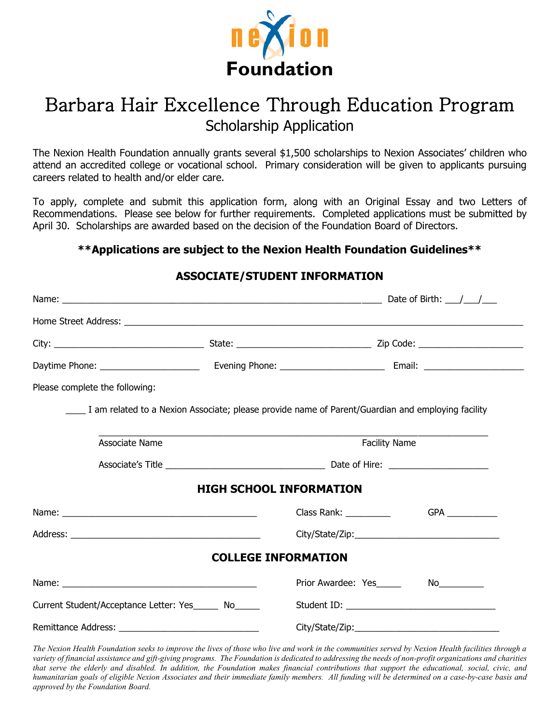

# Barbara Hair Excellence Through Education Program Scholarship Application

The Nexion Health Foundation annually grants several \$1,500 scholarships to Nexion Associates' children who attend an accredited college or vocational school. Primary consideration will be given to applicants pursuing careers related to health and/or elder care.

To apply, complete and submit this application form, along with an Original Essay and two Letters of Recommendations. Please see below for further requirements. Completed applications must be submitted by April 30. Scholarships are awarded based on the decision of the Foundation Board of Directors.

#### **\*\*Applications are subject to the Nexion Health Foundation Guidelines\*\***

#### **ASSOCIATE/STUDENT INFORMATION**

| Please complete the following:                       |                                                                                                   |                                |                                                                                                                |  |
|------------------------------------------------------|---------------------------------------------------------------------------------------------------|--------------------------------|----------------------------------------------------------------------------------------------------------------|--|
|                                                      | I am related to a Nexion Associate; please provide name of Parent/Guardian and employing facility |                                |                                                                                                                |  |
| Associate Name                                       |                                                                                                   | <b>Facility Name</b>           |                                                                                                                |  |
|                                                      |                                                                                                   |                                |                                                                                                                |  |
|                                                      |                                                                                                   | <b>HIGH SCHOOL INFORMATION</b> |                                                                                                                |  |
|                                                      |                                                                                                   |                                |                                                                                                                |  |
|                                                      |                                                                                                   |                                |                                                                                                                |  |
|                                                      |                                                                                                   | <b>COLLEGE INFORMATION</b>     |                                                                                                                |  |
|                                                      |                                                                                                   | Prior Awardee: Yes             | No and the state of the state of the state of the state of the state of the state of the state of the state of |  |
| Current Student/Acceptance Letter: Yes______ No_____ |                                                                                                   |                                |                                                                                                                |  |
|                                                      |                                                                                                   |                                |                                                                                                                |  |

*The Nexion Health Foundation seeks to improve the lives of those who live and work in the communities served by Nexion Health facilities through a variety of financial assistance and gift-giving programs. The Foundation is dedicated to addressing the needs of non-profit organizations and charities that serve the elderly and disabled. In addition, the Foundation makes financial contributions that support the educational, social, civic, and humanitarian goals of eligible Nexion Associates and their immediate family members. All funding will be determined on a case-by-case basis and approved by the Foundation Board.*